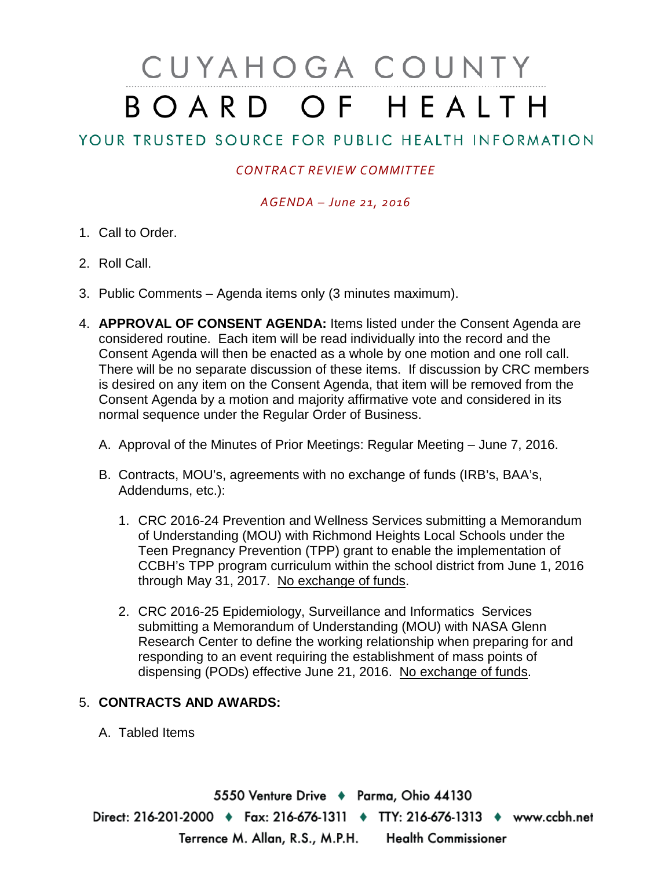# CUYAHOGA COUNTY BOARD OF HEALTH

# YOUR TRUSTED SOURCE FOR PUBLIC HEALTH INFORMATION

## *CONTRACT REVIEW COMMITTEE*

### *AGENDA – June 21, 2016*

- 1. Call to Order.
- 2. Roll Call.
- 3. Public Comments Agenda items only (3 minutes maximum).
- 4. **APPROVAL OF CONSENT AGENDA:** Items listed under the Consent Agenda are considered routine. Each item will be read individually into the record and the Consent Agenda will then be enacted as a whole by one motion and one roll call. There will be no separate discussion of these items. If discussion by CRC members is desired on any item on the Consent Agenda, that item will be removed from the Consent Agenda by a motion and majority affirmative vote and considered in its normal sequence under the Regular Order of Business.
	- A. Approval of the Minutes of Prior Meetings: Regular Meeting June 7, 2016.
	- B. Contracts, MOU's, agreements with no exchange of funds (IRB's, BAA's, Addendums, etc.):
		- 1. CRC 2016-24 Prevention and Wellness Services submitting a Memorandum of Understanding (MOU) with Richmond Heights Local Schools under the Teen Pregnancy Prevention (TPP) grant to enable the implementation of CCBH's TPP program curriculum within the school district from June 1, 2016 through May 31, 2017. No exchange of funds.
		- 2. CRC 2016-25 Epidemiology, Surveillance and Informatics Services submitting a Memorandum of Understanding (MOU) with NASA Glenn Research Center to define the working relationship when preparing for and responding to an event requiring the establishment of mass points of dispensing (PODs) effective June 21, 2016. No exchange of funds.

### 5. **CONTRACTS AND AWARDS:**

A. Tabled Items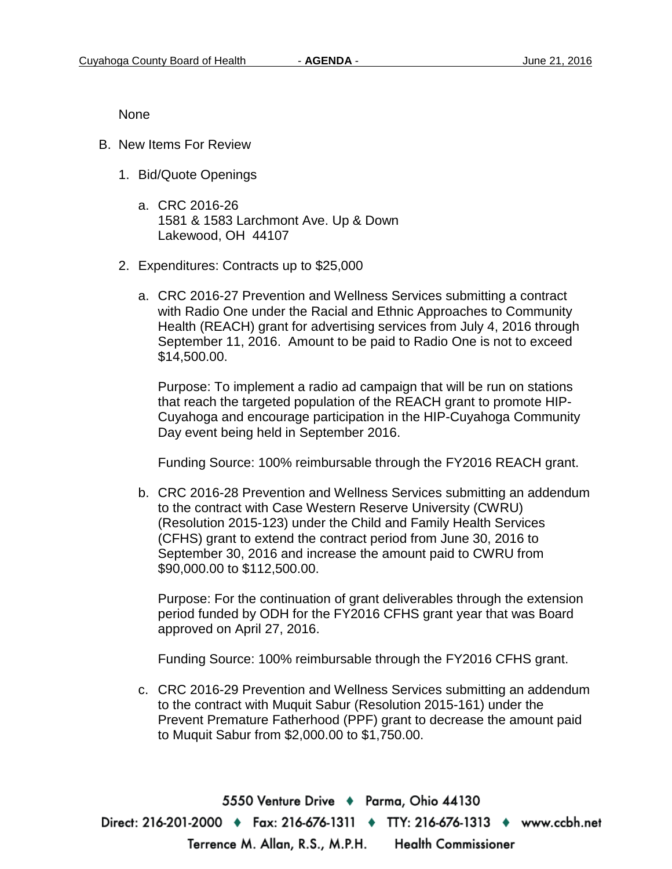None

- B. New Items For Review
	- 1. Bid/Quote Openings
		- a. CRC 2016-26 1581 & 1583 Larchmont Ave. Up & Down Lakewood, OH 44107
	- 2. Expenditures: Contracts up to \$25,000
		- a. CRC 2016-27 Prevention and Wellness Services submitting a contract with Radio One under the Racial and Ethnic Approaches to Community Health (REACH) grant for advertising services from July 4, 2016 through September 11, 2016. Amount to be paid to Radio One is not to exceed \$14,500.00.

Purpose: To implement a radio ad campaign that will be run on stations that reach the targeted population of the REACH grant to promote HIP-Cuyahoga and encourage participation in the HIP-Cuyahoga Community Day event being held in September 2016.

Funding Source: 100% reimbursable through the FY2016 REACH grant.

b. CRC 2016-28 Prevention and Wellness Services submitting an addendum to the contract with Case Western Reserve University (CWRU) (Resolution 2015-123) under the Child and Family Health Services (CFHS) grant to extend the contract period from June 30, 2016 to September 30, 2016 and increase the amount paid to CWRU from \$90,000.00 to \$112,500.00.

Purpose: For the continuation of grant deliverables through the extension period funded by ODH for the FY2016 CFHS grant year that was Board approved on April 27, 2016.

Funding Source: 100% reimbursable through the FY2016 CFHS grant.

c. CRC 2016-29 Prevention and Wellness Services submitting an addendum to the contract with Muquit Sabur (Resolution 2015-161) under the Prevent Premature Fatherhood (PPF) grant to decrease the amount paid to Muquit Sabur from \$2,000.00 to \$1,750.00.

5550 Venture Drive + Parma, Ohio 44130 Direct: 216-201-2000 ♦ Fax: 216-676-1311 ♦ TTY: 216-676-1313 ♦ www.ccbh.net Terrence M. Allan, R.S., M.P.H. Health Commissioner